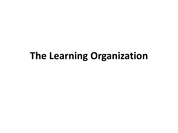#### **The Learning Organization**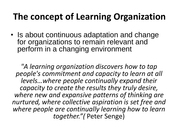#### **The concept of Learning Organization**

• Is about continuous adaptation and change for organizations to remain relevant and perform in a changing environment

*"A learning organization discovers how to tap people's commitment and capacity to learn at all levels…where people continually expand their capacity to create the results they truly desire, where new and expansive patterns of thinking are nurtured, where collective aspiration is set free and where people are continually learning how to learn together."(* Peter Senge)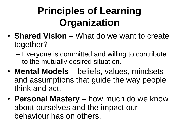# **Principles of Learning Organization**

- **Shared Vision** What do we want to create together?
	- Everyone is committed and willing to contribute to the mutually desired situation.
- **Mental Models** beliefs, values, mindsets and assumptions that guide the way people think and act.
- **Personal Mastery** how much do we know about ourselves and the impact our behaviour has on others.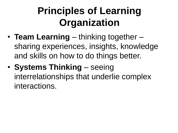# **Principles of Learning Organization**

- **Team Learning** thinking together sharing experiences, insights, knowledge and skills on how to do things better.
- **Systems Thinking** seeing interrelationships that underlie complex interactions.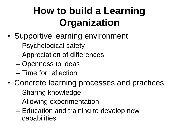# **How to build a Learning Organization**

- Supportive learning environment
	- Psychological safety
	- Appreciation of differences
	- Openness to ideas
	- Time for reflection
- Concrete learning processes and practices
	- Sharing knowledge
	- Allowing experimentation
	- Education and training to develop new capabilities